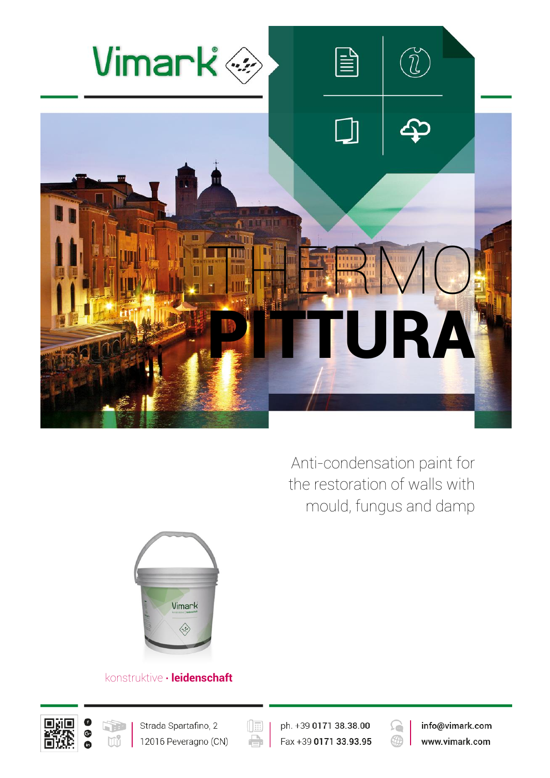

Anti-condensation paint for the restoration of walls with mould, fungus and damp



## konstruktive **∙ leidenschaft**





 $(\boxed{\mathbb{H}}$ e

ph. +39 0171 38.38.00 Fax +39 0171 33.93.95



info@vimark.com www.vimark.com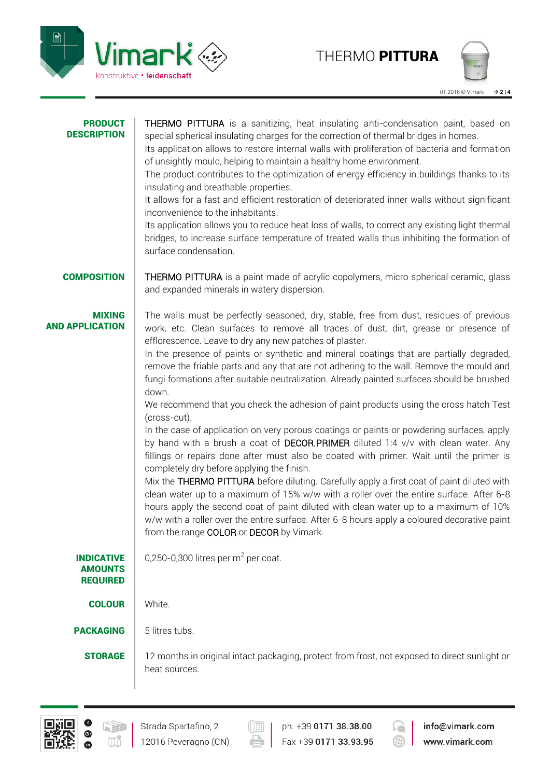



| <b>PRODUCT</b><br><b>DESCRIPTION</b>                   | THERMO PITTURA is a sanitizing, heat insulating anti-condensation paint, based on<br>special spherical insulating charges for the correction of thermal bridges in homes.<br>Its application allows to restore internal walls with proliferation of bacteria and formation<br>of unsightly mould, helping to maintain a healthy home environment.<br>The product contributes to the optimization of energy efficiency in buildings thanks to its<br>insulating and breathable properties.<br>It allows for a fast and efficient restoration of deteriorated inner walls without significant<br>inconvenience to the inhabitants.<br>Its application allows you to reduce heat loss of walls, to correct any existing light thermal<br>bridges, to increase surface temperature of treated walls thus inhibiting the formation of<br>surface condensation.                                                                                                                                                                                                                                                                                                                                                                                                                                                                                                                                                  |  |  |  |  |
|--------------------------------------------------------|------------------------------------------------------------------------------------------------------------------------------------------------------------------------------------------------------------------------------------------------------------------------------------------------------------------------------------------------------------------------------------------------------------------------------------------------------------------------------------------------------------------------------------------------------------------------------------------------------------------------------------------------------------------------------------------------------------------------------------------------------------------------------------------------------------------------------------------------------------------------------------------------------------------------------------------------------------------------------------------------------------------------------------------------------------------------------------------------------------------------------------------------------------------------------------------------------------------------------------------------------------------------------------------------------------------------------------------------------------------------------------------------------------|--|--|--|--|
| <b>COMPOSITION</b>                                     | THERMO PITTURA is a paint made of acrylic copolymers, micro spherical ceramic, glass<br>and expanded minerals in watery dispersion.                                                                                                                                                                                                                                                                                                                                                                                                                                                                                                                                                                                                                                                                                                                                                                                                                                                                                                                                                                                                                                                                                                                                                                                                                                                                        |  |  |  |  |
| <b>MIXING</b><br><b>AND APPLICATION</b>                | The walls must be perfectly seasoned, dry, stable, free from dust, residues of previous<br>work, etc. Clean surfaces to remove all traces of dust, dirt, grease or presence of<br>efflorescence. Leave to dry any new patches of plaster.<br>In the presence of paints or synthetic and mineral coatings that are partially degraded,<br>remove the friable parts and any that are not adhering to the wall. Remove the mould and<br>fungi formations after suitable neutralization. Already painted surfaces should be brushed<br>down.<br>We recommend that you check the adhesion of paint products using the cross hatch Test<br>(cross-cut).<br>In the case of application on very porous coatings or paints or powdering surfaces, apply<br>by hand with a brush a coat of DECOR.PRIMER diluted 1:4 v/v with clean water. Any<br>fillings or repairs done after must also be coated with primer. Wait until the primer is<br>completely dry before applying the finish.<br>Mix the THERMO PITTURA before diluting. Carefully apply a first coat of paint diluted with<br>clean water up to a maximum of 15% w/w with a roller over the entire surface. After 6-8<br>hours apply the second coat of paint diluted with clean water up to a maximum of 10%<br>w/w with a roller over the entire surface. After 6-8 hours apply a coloured decorative paint<br>from the range COLOR or DECOR by Vimark. |  |  |  |  |
| <b>INDICATIVE</b><br><b>AMOUNTS</b><br><b>REQUIRED</b> | 0,250-0,300 litres per $m2$ per coat.                                                                                                                                                                                                                                                                                                                                                                                                                                                                                                                                                                                                                                                                                                                                                                                                                                                                                                                                                                                                                                                                                                                                                                                                                                                                                                                                                                      |  |  |  |  |
| <b>COLOUR</b>                                          | White.                                                                                                                                                                                                                                                                                                                                                                                                                                                                                                                                                                                                                                                                                                                                                                                                                                                                                                                                                                                                                                                                                                                                                                                                                                                                                                                                                                                                     |  |  |  |  |
| <b>PACKAGING</b>                                       | 5 litres tubs.                                                                                                                                                                                                                                                                                                                                                                                                                                                                                                                                                                                                                                                                                                                                                                                                                                                                                                                                                                                                                                                                                                                                                                                                                                                                                                                                                                                             |  |  |  |  |
| <b>STORAGE</b>                                         | 12 months in original intact packaging, protect from frost, not exposed to direct sunlight or<br>heat sources.                                                                                                                                                                                                                                                                                                                                                                                                                                                                                                                                                                                                                                                                                                                                                                                                                                                                                                                                                                                                                                                                                                                                                                                                                                                                                             |  |  |  |  |



 $\left(\begin{matrix}\overline{\phantom{a}}\ \overline{\phantom{a}}\ \overline{\phantom{a}}\ \overline{\phantom{a}}\ \overline{\phantom{a}}\ \overline{\phantom{a}}\ \overline{\phantom{a}}\ \overline{\phantom{a}}\ \overline{\phantom{a}}\ \overline{\phantom{a}}\ \overline{\phantom{a}}\ \overline{\phantom{a}}\ \overline{\phantom{a}}\ \overline{\phantom{a}}\ \overline{\phantom{a}}\ \overline{\phantom{a}}\ \overline{\phantom{a}}\ \overline{\phantom{a}}\ \overline{\phantom{a}}\ \overline{\phantom{a}}\ \overline{\phantom{a}}\ \overline{\$ 

 $\Rightarrow$ 

ph. +39 0171 38.38.00 Fax +39 0171 33.93.95



info@vimark.com www.vimark.com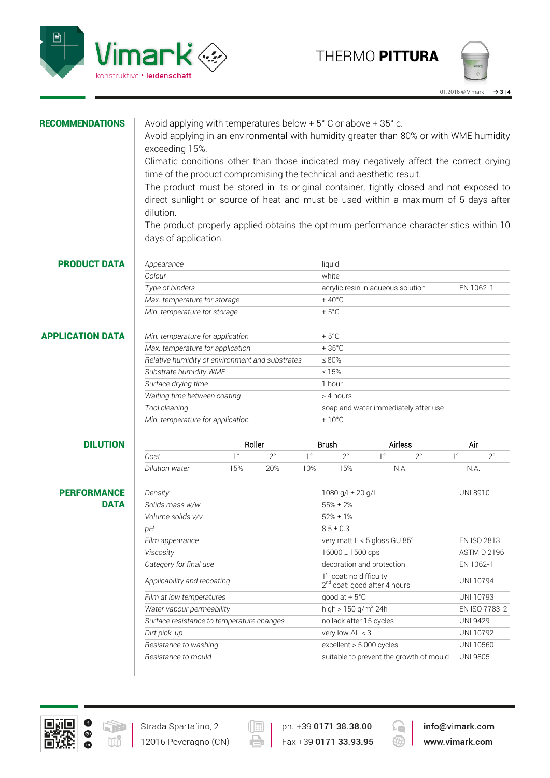



| <b>RECOMMENDATIONS</b>  | Avoid applying with temperatures below $+5^{\circ}$ C or above $+35^{\circ}$ c.<br>Avoid applying in an environmental with humidity greater than 80% or with WME humidity                                                                                                             |                                  |             |             |                                         |                                          |             |                 |  |
|-------------------------|---------------------------------------------------------------------------------------------------------------------------------------------------------------------------------------------------------------------------------------------------------------------------------------|----------------------------------|-------------|-------------|-----------------------------------------|------------------------------------------|-------------|-----------------|--|
|                         | exceeding 15%.<br>Climatic conditions other than those indicated may negatively affect the correct drying                                                                                                                                                                             |                                  |             |             |                                         |                                          |             |                 |  |
|                         | time of the product compromising the technical and aesthetic result.                                                                                                                                                                                                                  |                                  |             |             |                                         |                                          |             |                 |  |
|                         | The product must be stored in its original container, tightly closed and not exposed to<br>direct sunlight or source of heat and must be used within a maximum of 5 days after<br>dilution.<br>The product properly applied obtains the optimum performance characteristics within 10 |                                  |             |             |                                         |                                          |             |                 |  |
|                         |                                                                                                                                                                                                                                                                                       |                                  |             |             |                                         |                                          |             |                 |  |
|                         |                                                                                                                                                                                                                                                                                       |                                  |             |             |                                         |                                          |             |                 |  |
|                         |                                                                                                                                                                                                                                                                                       |                                  |             |             |                                         |                                          |             |                 |  |
| <b>PRODUCT DATA</b>     | Appearance                                                                                                                                                                                                                                                                            |                                  |             |             | liquid                                  |                                          |             |                 |  |
|                         | Colour                                                                                                                                                                                                                                                                                |                                  |             |             | white                                   |                                          |             |                 |  |
|                         | Type of binders                                                                                                                                                                                                                                                                       |                                  |             |             | acrylic resin in aqueous solution       |                                          | EN 1062-1   |                 |  |
|                         | Max. temperature for storage                                                                                                                                                                                                                                                          |                                  |             |             | $+40^{\circ}$ C                         |                                          |             |                 |  |
|                         | Min. temperature for storage                                                                                                                                                                                                                                                          |                                  |             |             | $+5^{\circ}$ C                          |                                          |             |                 |  |
| <b>APPLICATION DATA</b> | Min. temperature for application                                                                                                                                                                                                                                                      |                                  |             |             | $+5^{\circ}$ C                          |                                          |             |                 |  |
|                         |                                                                                                                                                                                                                                                                                       | Max. temperature for application |             |             | $+35^{\circ}$ C                         |                                          |             |                 |  |
|                         | Relative humidity of environment and substrates                                                                                                                                                                                                                                       |                                  |             |             | $\leq 80\%$                             |                                          |             |                 |  |
|                         | Substrate humidity WME                                                                                                                                                                                                                                                                |                                  |             |             | $\leq 15\%$                             |                                          |             |                 |  |
|                         | Surface drying time                                                                                                                                                                                                                                                                   |                                  |             |             | 1 hour                                  |                                          |             |                 |  |
|                         | Waiting time between coating                                                                                                                                                                                                                                                          |                                  |             |             | > 4 hours                               |                                          |             |                 |  |
|                         | Tool cleaning                                                                                                                                                                                                                                                                         |                                  |             |             |                                         | soap and water immediately after use     |             |                 |  |
|                         | Min. temperature for application<br>$+10^{\circ}$ C                                                                                                                                                                                                                                   |                                  |             |             |                                         |                                          |             |                 |  |
| <b>DILUTION</b>         |                                                                                                                                                                                                                                                                                       |                                  | Roller      |             | <b>Brush</b><br>Airless                 |                                          |             | Air             |  |
|                         | Coat                                                                                                                                                                                                                                                                                  | $1^{\circ}$                      | $2^{\circ}$ | $1^{\circ}$ | $2^{\circ}$                             | $1^{\circ}$<br>$2^{\circ}$               | $1^{\circ}$ | $2^{\circ}$     |  |
|                         | Dilution water                                                                                                                                                                                                                                                                        | 15%                              | 20%         | 10%         | 15%                                     | N.A.                                     |             | N.A.            |  |
| <b>PERFORMANCE</b>      | Density                                                                                                                                                                                                                                                                               |                                  |             |             | 1080 g/l ± 20 g/l                       |                                          |             | <b>UNI 8910</b> |  |
| <b>DATA</b>             | Solids mass w/w                                                                                                                                                                                                                                                                       |                                  |             |             | $55\% \pm 2\%$                          |                                          |             |                 |  |
|                         | Volume solids v/v                                                                                                                                                                                                                                                                     |                                  |             |             | $52\% \pm 1\%$                          |                                          |             |                 |  |
|                         | рH                                                                                                                                                                                                                                                                                    |                                  |             |             | $8.5 \pm 0.3$                           |                                          |             |                 |  |
|                         | Film appearance                                                                                                                                                                                                                                                                       |                                  |             |             | very matt L < 5 gloss GU 85°            |                                          |             | EN ISO 2813     |  |
|                         | Viscosity                                                                                                                                                                                                                                                                             |                                  |             |             | 16000 ± 1500 cps                        |                                          |             | ASTM D 2196     |  |
|                         | Category for final use                                                                                                                                                                                                                                                                |                                  |             |             | decoration and protection               |                                          |             | EN 1062-1       |  |
|                         | Applicability and recoating                                                                                                                                                                                                                                                           |                                  |             |             | 1 <sup>st</sup> coat: no difficulty     | 2 <sup>nd</sup> coat: good after 4 hours |             | UNI 10794       |  |
|                         | Film at low temperatures                                                                                                                                                                                                                                                              |                                  |             |             | good at $+5^{\circ}$ C                  |                                          |             | UNI 10793       |  |
|                         | Water vapour permeability                                                                                                                                                                                                                                                             |                                  |             |             | high $> 150$ g/m <sup>2</sup> 24h       |                                          |             | EN ISO 7783-2   |  |
|                         | Surface resistance to temperature changes                                                                                                                                                                                                                                             |                                  |             |             | no lack after 15 cycles                 |                                          |             | <b>UNI 9429</b> |  |
|                         | Dirt pick-up                                                                                                                                                                                                                                                                          |                                  |             |             | very low $\Delta L < 3$                 |                                          |             | UNI 10792       |  |
|                         | Resistance to washing                                                                                                                                                                                                                                                                 |                                  |             |             | excellent > 5.000 cycles                |                                          | UNI 10560   |                 |  |
|                         | Resistance to mould                                                                                                                                                                                                                                                                   |                                  |             |             | suitable to prevent the growth of mould |                                          |             | <b>UNI 9805</b> |  |
|                         |                                                                                                                                                                                                                                                                                       |                                  |             |             |                                         |                                          |             |                 |  |



 $\left(\begin{matrix}\overline{\phantom{a}}\ \overline{\phantom{a}}\ \overline{\phantom{a}}\ \overline{\phantom{a}}\ \overline{\phantom{a}}\ \overline{\phantom{a}}\ \overline{\phantom{a}}\ \overline{\phantom{a}}\ \overline{\phantom{a}}\ \overline{\phantom{a}}\ \overline{\phantom{a}}\ \overline{\phantom{a}}\ \overline{\phantom{a}}\ \overline{\phantom{a}}\ \overline{\phantom{a}}\ \overline{\phantom{a}}\ \overline{\phantom{a}}\ \overline{\phantom{a}}\ \overline{\phantom{a}}\ \overline{\phantom{a}}\ \overline{\phantom{a}}\ \overline{\$ 

 $\Rightarrow$ 

ph. +39 0171 38.38.00 Fax +39 0171 33.93.95